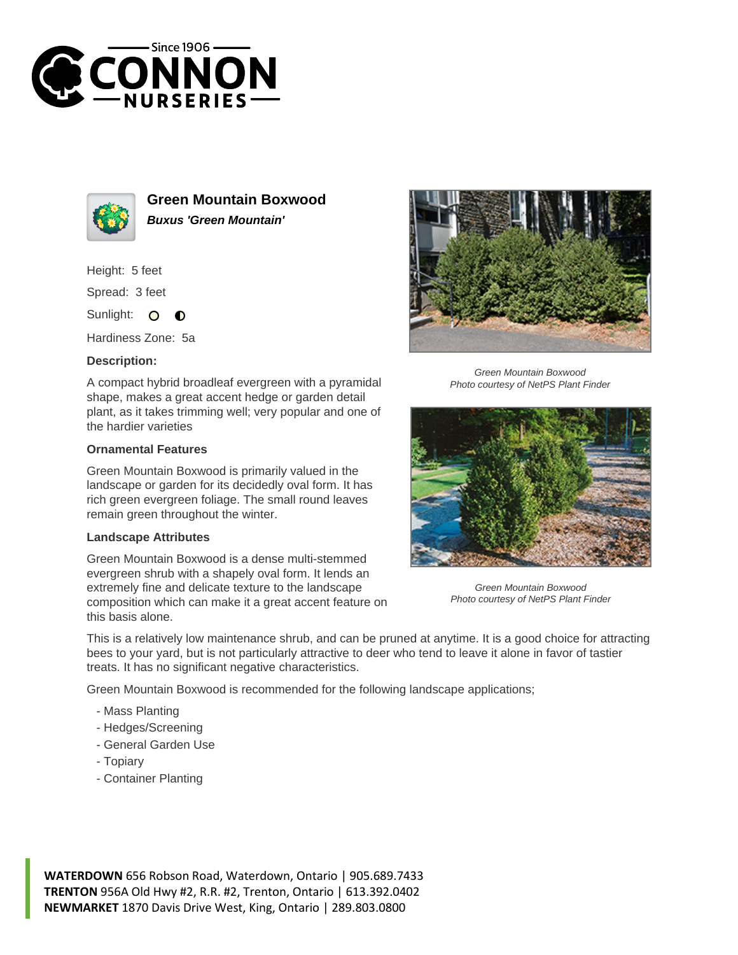



**Green Mountain Boxwood Buxus 'Green Mountain'**

Height: 5 feet

Spread: 3 feet

Sunlight: O  $\bullet$ 

Hardiness Zone: 5a

## **Description:**

A compact hybrid broadleaf evergreen with a pyramidal shape, makes a great accent hedge or garden detail plant, as it takes trimming well; very popular and one of the hardier varieties

## **Ornamental Features**

Green Mountain Boxwood is primarily valued in the landscape or garden for its decidedly oval form. It has rich green evergreen foliage. The small round leaves remain green throughout the winter.

## **Landscape Attributes**

Green Mountain Boxwood is a dense multi-stemmed evergreen shrub with a shapely oval form. It lends an extremely fine and delicate texture to the landscape composition which can make it a great accent feature on this basis alone.



Green Mountain Boxwood Photo courtesy of NetPS Plant Finder



Green Mountain Boxwood Photo courtesy of NetPS Plant Finder

This is a relatively low maintenance shrub, and can be pruned at anytime. It is a good choice for attracting bees to your yard, but is not particularly attractive to deer who tend to leave it alone in favor of tastier treats. It has no significant negative characteristics.

Green Mountain Boxwood is recommended for the following landscape applications;

- Mass Planting
- Hedges/Screening
- General Garden Use
- Topiary
- Container Planting

**WATERDOWN** 656 Robson Road, Waterdown, Ontario | 905.689.7433 **TRENTON** 956A Old Hwy #2, R.R. #2, Trenton, Ontario | 613.392.0402 **NEWMARKET** 1870 Davis Drive West, King, Ontario | 289.803.0800